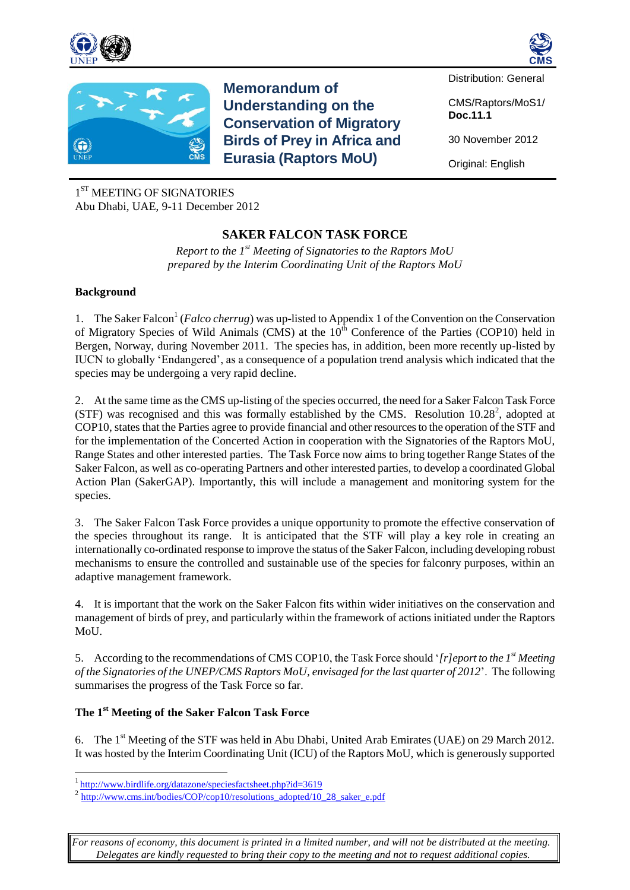





**Memorandum of Understanding on the Conservation of Migratory Birds of Prey in Africa and Eurasia (Raptors MoU)**

Distribution: General

CMS/Raptors/MoS1/ **Doc.11.1**

30 November 2012

Original: English

1 ST MEETING OF SIGNATORIES Abu Dhabi, UAE, 9-11 December 2012

# **SAKER FALCON TASK FORCE**

*Report to the 1st Meeting of Signatories to the Raptors MoU prepared by the Interim Coordinating Unit of the Raptors MoU*

### **Background**

1. The Saker Falcon<sup>1</sup> (*Falco cherrug*) was up-listed to Appendix 1 of the Convention on the Conservation of Migratory Species of Wild Animals (CMS) at the  $10<sup>th</sup>$  Conference of the Parties (COP10) held in Bergen, Norway, during November 2011. The species has, in addition, been more recently up-listed by IUCN to globally 'Endangered', as a consequence of a population trend analysis which indicated that the species may be undergoing a very rapid decline.

2. At the same time as the CMS up-listing of the species occurred, the need for a Saker Falcon Task Force (STF) was recognised and this was formally established by the CMS. Resolution  $10.28^2$ , adopted at COP10, states that the Parties agree to provide financial and other resources to the operation of the STF and for the implementation of the Concerted Action in cooperation with the Signatories of the Raptors MoU, Range States and other interested parties. The Task Force now aims to bring together Range States of the Saker Falcon, as well as co-operating Partners and other interested parties, to develop a coordinated Global Action Plan (SakerGAP). Importantly, this will include a management and monitoring system for the species.

3. The Saker Falcon Task Force provides a unique opportunity to promote the effective conservation of the species throughout its range. It is anticipated that the STF will play a key role in creating an internationally co-ordinated response to improve the status of the Saker Falcon, including developing robust mechanisms to ensure the controlled and sustainable use of the species for falconry purposes, within an adaptive management framework.

4. It is important that the work on the Saker Falcon fits within wider initiatives on the conservation and management of birds of prey, and particularly within the framework of actions initiated under the Raptors MoU.

5. According to the recommendations of CMS COP10, the Task Force should '*[r]eport to the 1st Meeting of the Signatories of the UNEP/CMS Raptors MoU, envisaged for the last quarter of 2012*'. The following summarises the progress of the Task Force so far.

## **The 1st Meeting of the Saker Falcon Task Force**

6. The 1<sup>st</sup> Meeting of the STF was held in Abu Dhabi, United Arab Emirates (UAE) on 29 March 2012. It was hosted by the Interim Coordinating Unit (ICU) of the Raptors MoU, which is generously supported

 $\overline{a}$ 

*For reasons of economy, this document is printed in a limited number, and will not be distributed at the meeting. Delegates are kindly requested to bring their copy to the meeting and not to request additional copies.*

<sup>&</sup>lt;sup>1</sup><http://www.birdlife.org/datazone/speciesfactsheet.php?id=3619>

<sup>&</sup>lt;sup>2</sup> [http://www.cms.int/bodies/COP/cop10/resolutions\\_adopted/10\\_28\\_saker\\_e.pdf](http://www.cms.int/bodies/COP/cop10/resolutions_adopted/10_28_saker_e.pdf)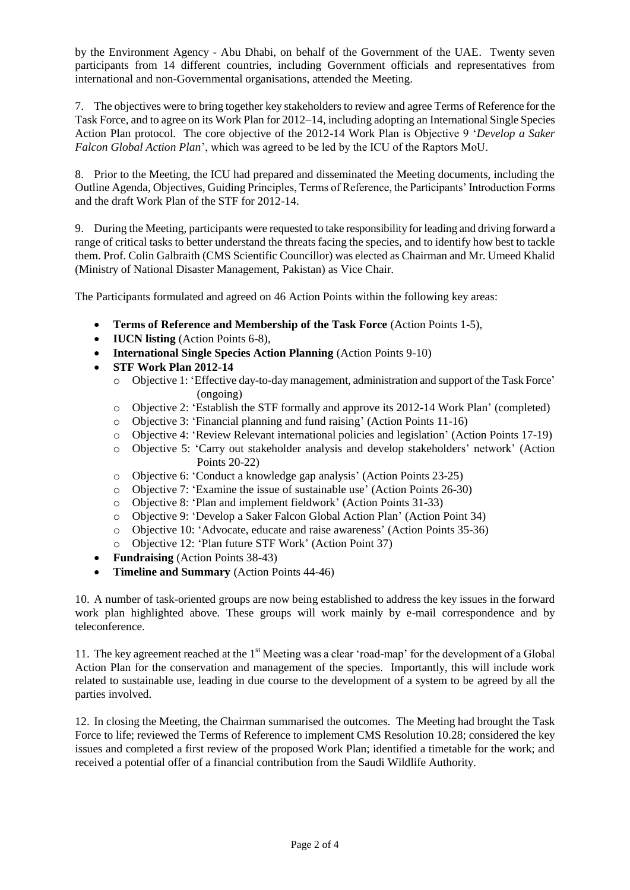by the Environment Agency - Abu Dhabi, on behalf of the Government of the UAE. Twenty seven participants from 14 different countries, including Government officials and representatives from international and non-Governmental organisations, attended the Meeting.

7. The objectives were to bring together key stakeholders to review and agree Terms of Reference for the Task Force, and to agree on its Work Plan for 2012–14, including adopting an International Single Species Action Plan protocol. The core objective of the 2012-14 Work Plan is Objective 9 '*Develop a Saker Falcon Global Action Plan*', which was agreed to be led by the ICU of the Raptors MoU.

8. Prior to the Meeting, the ICU had prepared and disseminated the Meeting documents, including the Outline Agenda, Objectives, Guiding Principles, Terms of Reference, the Participants' Introduction Forms and the draft Work Plan of the STF for 2012-14.

9. During the Meeting, participants were requested to take responsibility for leading and driving forward a range of critical tasks to better understand the threats facing the species, and to identify how best to tackle them. Prof. Colin Galbraith (CMS Scientific Councillor) was elected as Chairman and Mr. Umeed Khalid (Ministry of National Disaster Management, Pakistan) as Vice Chair.

The Participants formulated and agreed on 46 Action Points within the following key areas:

- **Terms of Reference and Membership of the Task Force** (Action Points 1-5),
- **IUCN listing** (Action Points 6-8),
- **International Single Species Action Planning** (Action Points 9-10)
- **STF Work Plan 2012-14**
	- o Objective 1: 'Effective day-to-day management, administration and support of the Task Force' (ongoing)
	- o Objective 2: 'Establish the STF formally and approve its 2012-14 Work Plan' (completed)
	- o Objective 3: 'Financial planning and fund raising' (Action Points 11-16)
	- o Objective 4: 'Review Relevant international policies and legislation' (Action Points 17-19)
	- o Objective 5: 'Carry out stakeholder analysis and develop stakeholders' network' (Action Points 20-22)
	- o Objective 6: 'Conduct a knowledge gap analysis' (Action Points 23-25)
	- o Objective 7: 'Examine the issue of sustainable use' (Action Points 26-30)
	- o Objective 8: 'Plan and implement fieldwork' (Action Points 31-33)
	- o Objective 9: 'Develop a Saker Falcon Global Action Plan' (Action Point 34)
	- o Objective 10: 'Advocate, educate and raise awareness' (Action Points 35-36)
	- o Objective 12: 'Plan future STF Work' (Action Point 37)
- **Fundraising** (Action Points 38-43)
- **Timeline and Summary** (Action Points 44-46)

10. A number of task-oriented groups are now being established to address the key issues in the forward work plan highlighted above. These groups will work mainly by e-mail correspondence and by teleconference.

11. The key agreement reached at the 1<sup>st</sup> Meeting was a clear 'road-map' for the development of a Global Action Plan for the conservation and management of the species. Importantly, this will include work related to sustainable use, leading in due course to the development of a system to be agreed by all the parties involved.

12. In closing the Meeting, the Chairman summarised the outcomes. The Meeting had brought the Task Force to life; reviewed the Terms of Reference to implement CMS Resolution 10.28; considered the key issues and completed a first review of the proposed Work Plan; identified a timetable for the work; and received a potential offer of a financial contribution from the Saudi Wildlife Authority.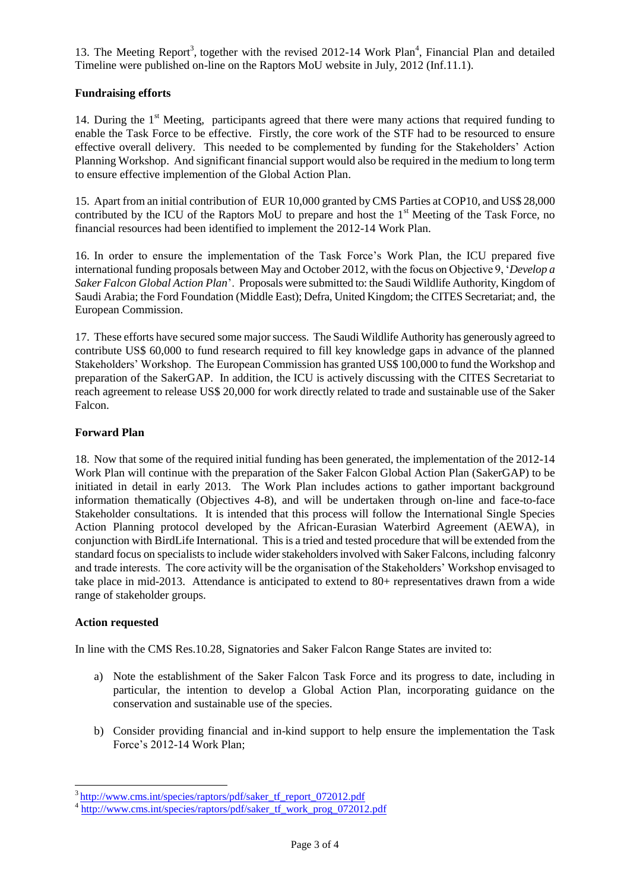13. The Meeting Report<sup>3</sup>, together with the revised 2012-14 Work Plan<sup>4</sup>, Financial Plan and detailed Timeline were published on-line on the Raptors MoU website in July, 2012 (Inf.11.1).

### **Fundraising efforts**

14. During the 1<sup>st</sup> Meeting, participants agreed that there were many actions that required funding to enable the Task Force to be effective. Firstly, the core work of the STF had to be resourced to ensure effective overall delivery. This needed to be complemented by funding for the Stakeholders' Action Planning Workshop. And significant financial support would also be required in the medium to long term to ensure effective implemention of the Global Action Plan.

15. Apart from an initial contribution of EUR 10,000 granted by CMS Parties at COP10, and US\$ 28,000 contributed by the ICU of the Raptors MoU to prepare and host the  $1<sup>st</sup>$  Meeting of the Task Force, no financial resources had been identified to implement the 2012-14 Work Plan.

16. In order to ensure the implementation of the Task Force's Work Plan, the ICU prepared five international funding proposals between May and October 2012, with the focus on Objective 9, '*Develop a Saker Falcon Global Action Plan*'. Proposals were submitted to: the Saudi Wildlife Authority, Kingdom of Saudi Arabia; the Ford Foundation (Middle East); Defra, United Kingdom; the CITES Secretariat; and, the European Commission.

17. These efforts have secured some major success. The Saudi Wildlife Authority has generously agreed to contribute US\$ 60,000 to fund research required to fill key knowledge gaps in advance of the planned Stakeholders' Workshop. The European Commission has granted US\$ 100,000 to fund the Workshop and preparation of the SakerGAP. In addition, the ICU is actively discussing with the CITES Secretariat to reach agreement to release US\$ 20,000 for work directly related to trade and sustainable use of the Saker Falcon.

### **Forward Plan**

18. Now that some of the required initial funding has been generated, the implementation of the 2012-14 Work Plan will continue with the preparation of the Saker Falcon Global Action Plan (SakerGAP) to be initiated in detail in early 2013. The Work Plan includes actions to gather important background information thematically (Objectives 4-8), and will be undertaken through on-line and face-to-face Stakeholder consultations. It is intended that this process will follow the International Single Species Action Planning protocol developed by the African-Eurasian Waterbird Agreement (AEWA), in conjunction with BirdLife International. This is a tried and tested procedure that will be extended from the standard focus on specialists to include wider stakeholders involved with Saker Falcons, including falconry and trade interests. The core activity will be the organisation of the Stakeholders' Workshop envisaged to take place in mid-2013. Attendance is anticipated to extend to 80+ representatives drawn from a wide range of stakeholder groups.

#### **Action requested**

 $\overline{a}$ 

In line with the CMS Res.10.28, Signatories and Saker Falcon Range States are invited to:

- a) Note the establishment of the Saker Falcon Task Force and its progress to date, including in particular, the intention to develop a Global Action Plan, incorporating guidance on the conservation and sustainable use of the species.
- b) Consider providing financial and in-kind support to help ensure the implementation the Task Force's 2012-14 Work Plan;

<sup>&</sup>lt;sup>3</sup>[http://www.cms.int/species/raptors/pdf/saker\\_tf\\_report\\_072012.pdf](http://www.cms.int/species/raptors/pdf/saker_tf_report_072012.pdf)

<sup>4</sup> [http://www.cms.int/species/raptors/pdf/saker\\_tf\\_work\\_prog\\_072012.pdf](http://www.cms.int/species/raptors/pdf/saker_tf_work_prog_072012.pdf)